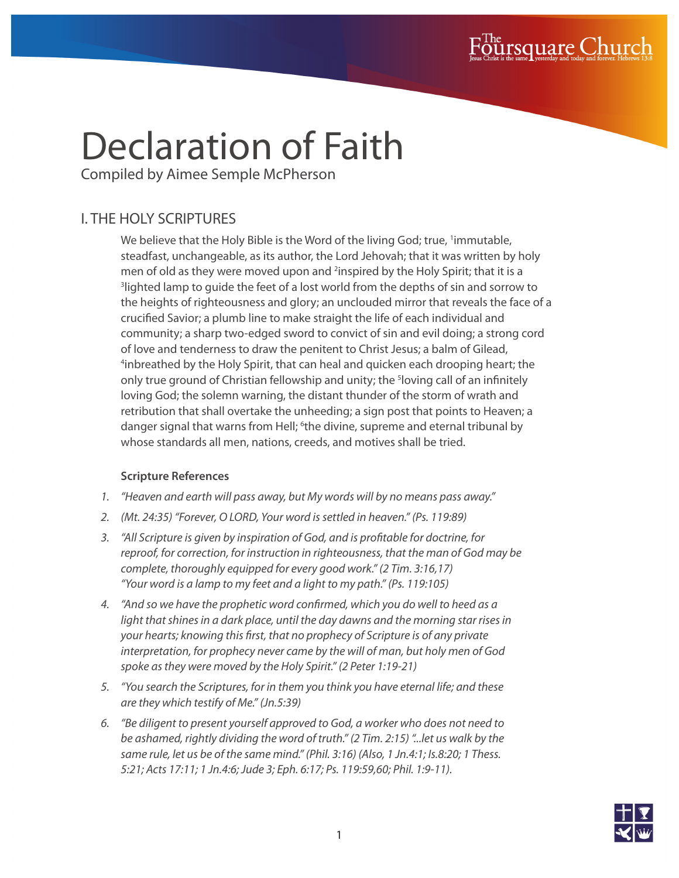

# Declaration of Faith

Compiled by Aimee Semple McPherson

## I. THE HOLY SCRIPTURES

We believe that the Holy Bible is the Word of the living God; true, <sup>1</sup>immutable, steadfast, unchangeable, as its author, the Lord Jehovah; that it was written by holy men of old as they were moved upon and <sup>2</sup>inspired by the Holy Spirit; that it is a <sup>3</sup>lighted lamp to guide the feet of a lost world from the depths of sin and sorrow to the heights of righteousness and glory; an unclouded mirror that reveals the face of a crucified Savior; a plumb line to make straight the life of each individual and community; a sharp two-edged sword to convict of sin and evil doing; a strong cord of love and tenderness to draw the penitent to Christ Jesus; a balm of Gilead, 4 inbreathed by the Holy Spirit, that can heal and quicken each drooping heart; the only true ground of Christian fellowship and unity; the <sup>s</sup>loving call of an infinitely loving God; the solemn warning, the distant thunder of the storm of wrath and retribution that shall overtake the unheeding; a sign post that points to Heaven; a danger signal that warns from Hell; <sup>6</sup>the divine, supreme and eternal tribunal by whose standards all men, nations, creeds, and motives shall be tried.

- *1. "Heaven and earth will pass away, but My words will by no means pass away."*
- *2. (Mt. 24:35) "Forever, O LORD, Your word is settled in heaven." (Ps. 119:89)*
- *3. "All Scripture is given by inspiration of God, and is profitable for doctrine, for reproof, for correction, for instruction in righteousness, that the man of God may be complete, thoroughly equipped for every good work." (2 Tim. 3:16,17) "Your word is a lamp to my feet and a light to my path." (Ps. 119:105)*
- *4. "And so we have the prophetic word confirmed, which you do well to heed as a light that shines in a dark place, until the day dawns and the morning star rises in your hearts; knowing this first, that no prophecy of Scripture is of any private interpretation, for prophecy never came by the will of man, but holy men of God spoke as they were moved by the Holy Spirit." (2 Peter 1:19-21)*
- *5. "You search the Scriptures, for in them you think you have eternal life; and these are they which testify of Me." (Jn.5:39)*
- *6. "Be diligent to present yourself approved to God, a worker who does not need to be ashamed, rightly dividing the word of truth." (2 Tim. 2:15) "...let us walk by the same rule, let us be of the same mind." (Phil. 3:16) (Also, 1 Jn.4:1; Is.8:20; 1 Thess. 5:21; Acts 17:11; 1 Jn.4:6; Jude 3; Eph. 6:17; Ps. 119:59,60; Phil. 1:9-11).*

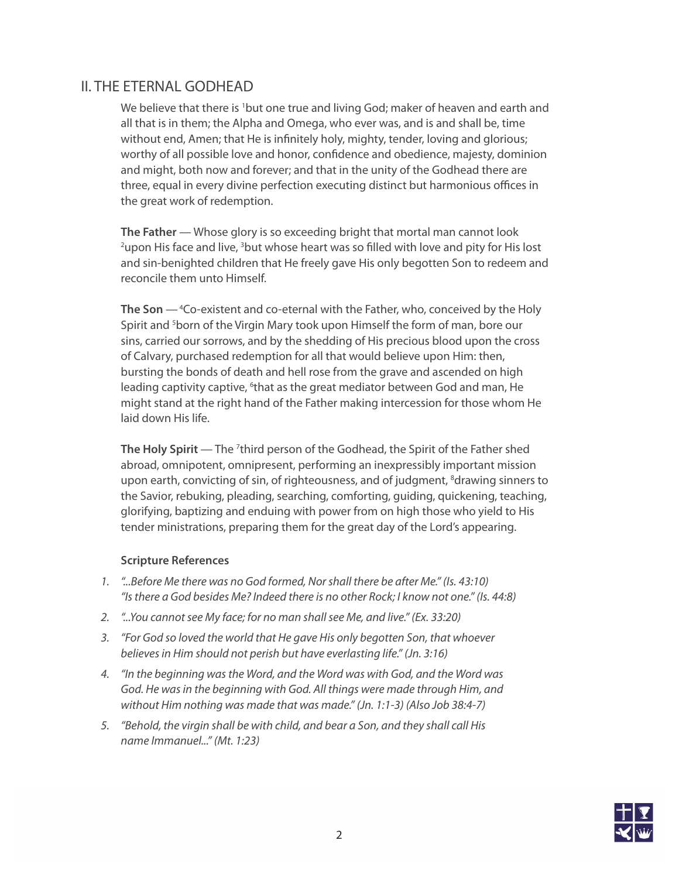## II. THE ETERNAL GODHEAD

We believe that there is <sup>1</sup>but one true and living God; maker of heaven and earth and all that is in them; the Alpha and Omega, who ever was, and is and shall be, time without end, Amen; that He is infinitely holy, mighty, tender, loving and glorious; worthy of all possible love and honor, confidence and obedience, majesty, dominion and might, both now and forever; and that in the unity of the Godhead there are three, equal in every divine perfection executing distinct but harmonious offices in the great work of redemption.

**The Father** — Whose glory is so exceeding bright that mortal man cannot look <sup>2</sup>upon His face and live, <sup>3</sup>but whose heart was so filled with love and pity for His lost and sin-benighted children that He freely gave His only begotten Son to redeem and reconcile them unto Himself.

**The Son** — 4Co-existent and co-eternal with the Father, who, conceived by the Holy Spirit and <sup>5</sup>born of the Virgin Mary took upon Himself the form of man, bore our sins, carried our sorrows, and by the shedding of His precious blood upon the cross of Calvary, purchased redemption for all that would believe upon Him: then, bursting the bonds of death and hell rose from the grave and ascended on high leading captivity captive, <sup>6</sup>that as the great mediator between God and man, He might stand at the right hand of the Father making intercession for those whom He laid down His life.

The Holy Spirit — The <sup>7</sup>third person of the Godhead, the Spirit of the Father shed abroad, omnipotent, omnipresent, performing an inexpressibly important mission upon earth, convicting of sin, of righteousness, and of judgment, <sup>8</sup>drawing sinners to the Savior, rebuking, pleading, searching, comforting, guiding, quickening, teaching, glorifying, baptizing and enduing with power from on high those who yield to His tender ministrations, preparing them for the great day of the Lord's appearing.

- *1. "...Before Me there was no God formed, Nor shall there be after Me." (Is. 43:10) "Is there a God besides Me? Indeed there is no other Rock; I know not one." (Is. 44:8)*
- *2. "...You cannot see My face; for no man shall see Me, and live." (Ex. 33:20)*
- *3. "For God so loved the world that He gave His only begotten Son, that whoever believes in Him should not perish but have everlasting life." (Jn. 3:16)*
- *4. "In the beginning was the Word, and the Word was with God, and the Word was God. He was in the beginning with God. All things were made through Him, and without Him nothing was made that was made." (Jn. 1:1-3) (Also Job 38:4-7)*
- *5. "Behold, the virgin shall be with child, and bear a Son, and they shall call His name Immanuel..." (Mt. 1:23)*

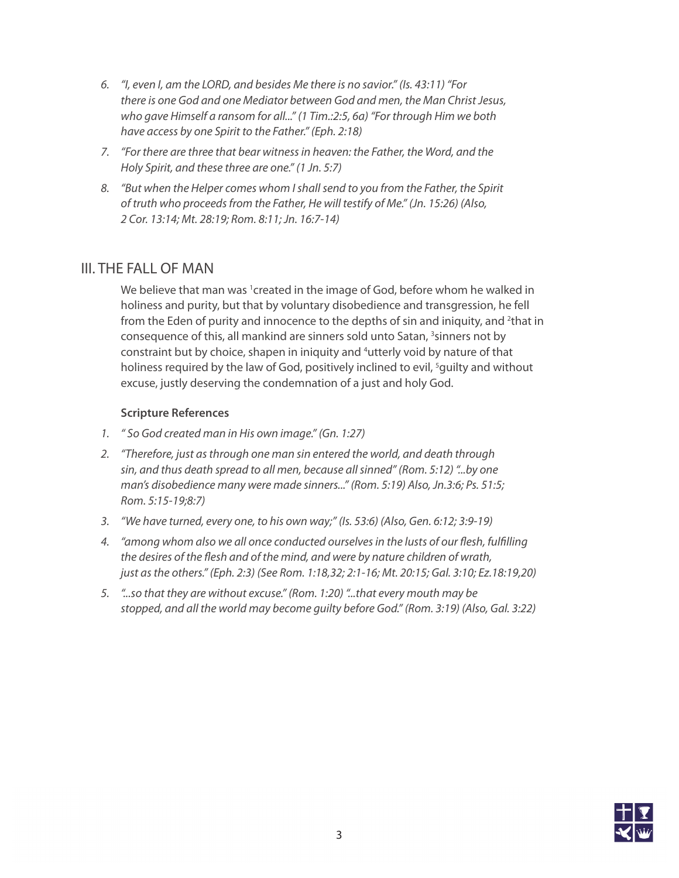- *6. "I, even I, am the LORD, and besides Me there is no savior." (Is. 43:11) "For there is one God and one Mediator between God and men, the Man Christ Jesus, who gave Himself a ransom for all..." (1 Tim.:2:5, 6a) "For through Him we both have access by one Spirit to the Father." (Eph. 2:18)*
- *7. "For there are three that bear witness in heaven: the Father, the Word, and the Holy Spirit, and these three are one." (1 Jn. 5:7)*
- *8. "But when the Helper comes whom I shall send to you from the Father, the Spirit of truth who proceeds from the Father, He will testify of Me." (Jn. 15:26) (Also, 2 Cor. 13:14; Mt. 28:19; Rom. 8:11; Jn. 16:7-14)*

## III. THE FALL OF MAN

We believe that man was <sup>1</sup>created in the image of God, before whom he walked in holiness and purity, but that by voluntary disobedience and transgression, he fell from the Eden of purity and innocence to the depths of sin and iniquity, and <sup>2</sup>that in consequence of this, all mankind are sinners sold unto Satan, <sup>3</sup>sinners not by constraint but by choice, shapen in iniquity and <sup>4</sup>utterly void by nature of that holiness required by the law of God, positively inclined to evil, <sup>5</sup>guilty and without excuse, justly deserving the condemnation of a just and holy God.

- *1. " So God created man in His own image." (Gn. 1:27)*
- *2. "Therefore, just as through one man sin entered the world, and death through sin, and thus death spread to all men, because all sinned" (Rom. 5:12) "...by one man's disobedience many were made sinners..." (Rom. 5:19) Also, Jn.3:6; Ps. 51:5; Rom. 5:15-19;8:7)*
- *3. "We have turned, every one, to his own way;" (Is. 53:6) (Also, Gen. 6:12; 3:9-19)*
- *4. "among whom also we all once conducted ourselves in the lusts of our flesh, fulfilling the desires of the flesh and of the mind, and were by nature children of wrath, just as the others." (Eph. 2:3) (See Rom. 1:18,32; 2:1-16; Mt. 20:15; Gal. 3:10; Ez.18:19,20)*
- *5. "...so that they are without excuse." (Rom. 1:20) "...that every mouth may be stopped, and all the world may become guilty before God." (Rom. 3:19) (Also, Gal. 3:22)*

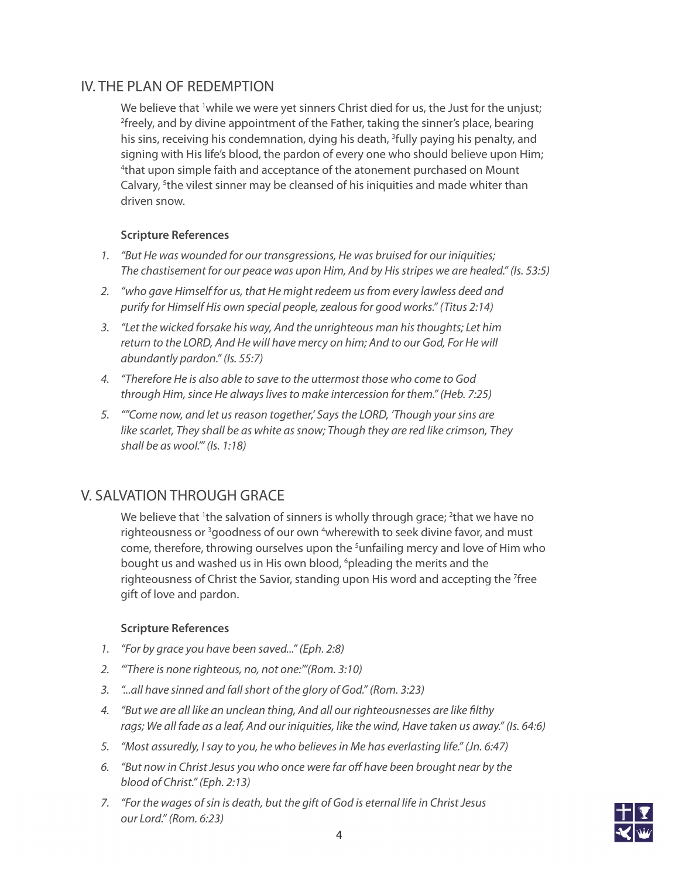## IV. THE PLAN OF REDEMPTION

We believe that <sup>1</sup>while we were yet sinners Christ died for us, the Just for the unjust; 2 freely, and by divine appointment of the Father, taking the sinner's place, bearing his sins, receiving his condemnation, dying his death, <sup>3</sup>fully paying his penalty, and signing with His life's blood, the pardon of every one who should believe upon Him; <sup>4</sup>that upon simple faith and acceptance of the atonement purchased on Mount Calvary, <sup>5</sup>the vilest sinner may be cleansed of his iniquities and made whiter than driven snow.

#### **Scripture References**

- *1. "But He was wounded for our transgressions, He was bruised for our iniquities; The chastisement for our peace was upon Him, And by His stripes we are healed." (Is. 53:5)*
- *2. "who gave Himself for us, that He might redeem us from every lawless deed and purify for Himself His own special people, zealous for good works." (Titus 2:14)*
- *3. "Let the wicked forsake his way, And the unrighteous man his thoughts; Let him return to the LORD, And He will have mercy on him; And to our God, For He will abundantly pardon." (Is. 55:7)*
- *4. "Therefore He is also able to save to the uttermost those who come to God through Him, since He always lives to make intercession for them." (Heb. 7:25)*
- *5. ""Come now, and let us reason together,' Says the LORD, 'Though your sins are like scarlet, They shall be as white as snow; Though they are red like crimson, They shall be as wool.'" (Is. 1:18)*

## V. SALVATION THROUGH GRACE

We believe that <sup>1</sup>the salvation of sinners is wholly through grace; <sup>2</sup>that we have no righteousness or <sup>3</sup>goodness of our own <sup>4</sup>wherewith to seek divine favor, and must come, therefore, throwing ourselves upon the <sup>5</sup>unfailing mercy and love of Him who bought us and washed us in His own blood, <sup>6</sup>pleading the merits and the righteousness of Christ the Savior, standing upon His word and accepting the <sup>7</sup>free gift of love and pardon.

- *1. "For by grace you have been saved..." (Eph. 2:8)*
- *2. "'There is none righteous, no, not one:'"(Rom. 3:10)*
- *3. "...all have sinned and fall short of the glory of God." (Rom. 3:23)*
- *4. "But we are all like an unclean thing, And all our righteousnesses are like filthy rags; We all fade as a leaf, And our iniquities, like the wind, Have taken us away." (Is. 64:6)*
- *5. "Most assuredly, I say to you, he who believes in Me has everlasting life." (Jn. 6:47)*
- *6. "But now in Christ Jesus you who once were far off have been brought near by the blood of Christ." (Eph. 2:13)*
- *7. "For the wages of sin is death, but the gift of God is eternal life in Christ Jesus our Lord." (Rom. 6:23)*

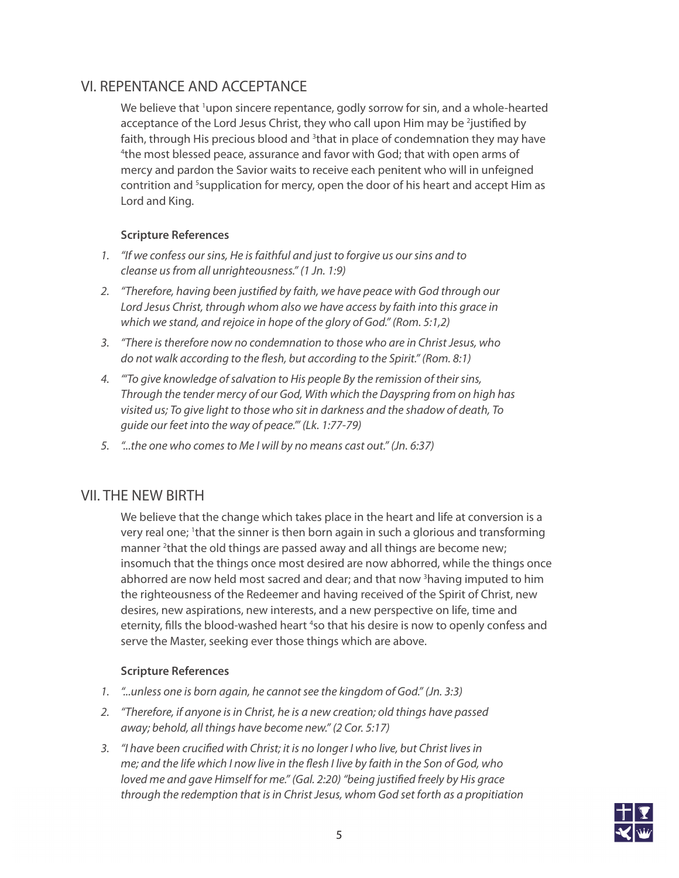## VI. REPENTANCE AND ACCEPTANCE

We believe that <sup>1</sup>upon sincere repentance, godly sorrow for sin, and a whole-hearted acceptance of the Lord Jesus Christ, they who call upon Him may be <sup>2</sup>justified by faith, through His precious blood and <sup>3</sup>that in place of condemnation they may have 4 the most blessed peace, assurance and favor with God; that with open arms of mercy and pardon the Savior waits to receive each penitent who will in unfeigned contrition and <sup>5</sup>supplication for mercy, open the door of his heart and accept Him as Lord and King.

#### **Scripture References**

- *1. "If we confess our sins, He is faithful and just to forgive us our sins and to cleanse us from all unrighteousness." (1 Jn. 1:9)*
- *2. "Therefore, having been justified by faith, we have peace with God through our Lord Jesus Christ, through whom also we have access by faith into this grace in which we stand, and rejoice in hope of the glory of God." (Rom. 5:1,2)*
- *3. "There is therefore now no condemnation to those who are in Christ Jesus, who do not walk according to the flesh, but according to the Spirit." (Rom. 8:1)*
- *4. "'To give knowledge of salvation to His people By the remission of their sins, Through the tender mercy of our God, With which the Dayspring from on high has visited us; To give light to those who sit in darkness and the shadow of death, To guide our feet into the way of peace.'" (Lk. 1:77-79)*
- *5. "...the one who comes to Me I will by no means cast out." (Jn. 6:37)*

## VII. THE NEW BIRTH

We believe that the change which takes place in the heart and life at conversion is a very real one; <sup>1</sup>that the sinner is then born again in such a glorious and transforming manner <sup>2</sup>that the old things are passed away and all things are become new; insomuch that the things once most desired are now abhorred, while the things once abhorred are now held most sacred and dear; and that now <sup>3</sup>having imputed to him the righteousness of the Redeemer and having received of the Spirit of Christ, new desires, new aspirations, new interests, and a new perspective on life, time and eternity, fills the blood-washed heart <sup>4</sup>so that his desire is now to openly confess and serve the Master, seeking ever those things which are above.

- *1. "...unless one is born again, he cannot see the kingdom of God." (Jn. 3:3)*
- *2. "Therefore, if anyone is in Christ, he is a new creation; old things have passed away; behold, all things have become new." (2 Cor. 5:17)*
- *3. "I have been crucified with Christ; it is no longer I who live, but Christ lives in me; and the life which I now live in the flesh I live by faith in the Son of God, who loved me and gave Himself for me." (Gal. 2:20) "being justified freely by His grace through the redemption that is in Christ Jesus, whom God set forth as a propitiation*

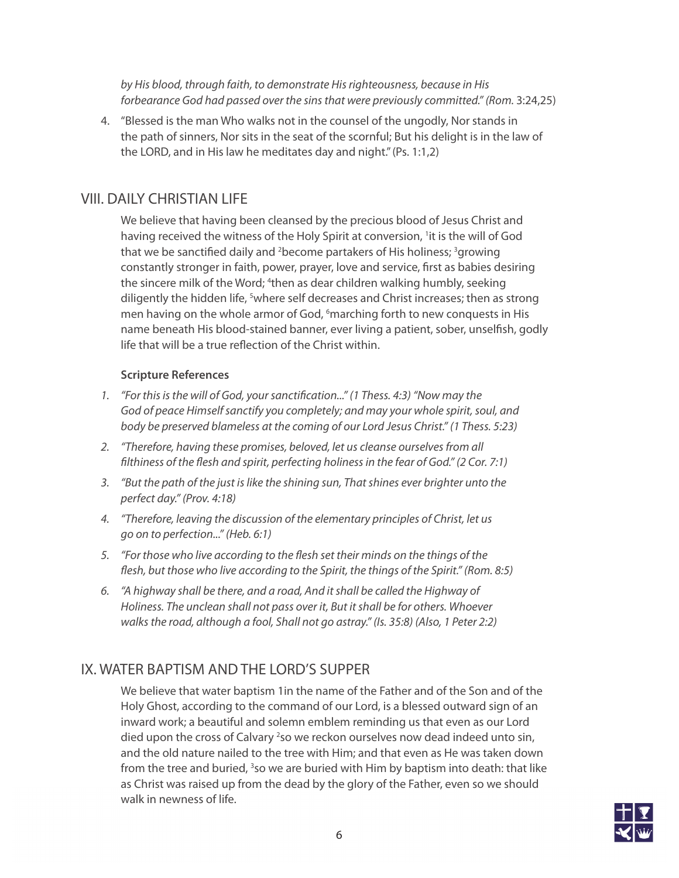*by His blood, through faith, to demonstrate His righteousness, because in His* forbearance God had passed over the sins that were previously committed." (Rom. 3:24,25)

4. "Blessed is the man Who walks not in the counsel of the ungodly, Nor stands in the path of sinners, Nor sits in the seat of the scornful; But his delight is in the law of the LORD, and in His law he meditates day and night." (Ps. 1:1,2)

## VIII. DAILY CHRISTIAN LIFE

We believe that having been cleansed by the precious blood of Jesus Christ and having received the witness of the Holy Spirit at conversion, <sup>1</sup>it is the will of God that we be sanctified daily and <sup>2</sup>become partakers of His holiness; <sup>3</sup>growing constantly stronger in faith, power, prayer, love and service, first as babies desiring the sincere milk of the Word; <sup>4</sup>then as dear children walking humbly, seeking diligently the hidden life, <sup>5</sup>where self decreases and Christ increases; then as strong men having on the whole armor of God, <sup>6</sup>marching forth to new conquests in His name beneath His blood-stained banner, ever living a patient, sober, unselfish, godly life that will be a true reflection of the Christ within.

#### **Scripture References**

- *1. "For this is the will of God, your sanctification..." (1 Thess. 4:3) "Now may the God of peace Himself sanctify you completely; and may your whole spirit, soul, and body be preserved blameless at the coming of our Lord Jesus Christ." (1 Thess. 5:23)*
- *2. "Therefore, having these promises, beloved, let us cleanse ourselves from all filthiness of the flesh and spirit, perfecting holiness in the fear of God." (2 Cor. 7:1)*
- *3. "But the path of the just is like the shining sun, That shines ever brighter unto the perfect day." (Prov. 4:18)*
- *4. "Therefore, leaving the discussion of the elementary principles of Christ, let us go on to perfection..." (Heb. 6:1)*
- *5. "For those who live according to the flesh set their minds on the things of the flesh, but those who live according to the Spirit, the things of the Spirit." (Rom. 8:5)*
- *6. "A highway shall be there, and a road, And it shall be called the Highway of Holiness. The unclean shall not pass over it, But it shall be for others. Whoever walks the road, although a fool, Shall not go astray." (Is. 35:8) (Also, 1 Peter 2:2)*

# IX. WATER BAPTISM AND THE LORD'S SUPPER

We believe that water baptism 1in the name of the Father and of the Son and of the Holy Ghost, according to the command of our Lord, is a blessed outward sign of an inward work; a beautiful and solemn emblem reminding us that even as our Lord died upon the cross of Calvary <sup>2</sup>so we reckon ourselves now dead indeed unto sin, and the old nature nailed to the tree with Him; and that even as He was taken down from the tree and buried, <sup>3</sup>so we are buried with Him by baptism into death: that like as Christ was raised up from the dead by the glory of the Father, even so we should walk in newness of life.

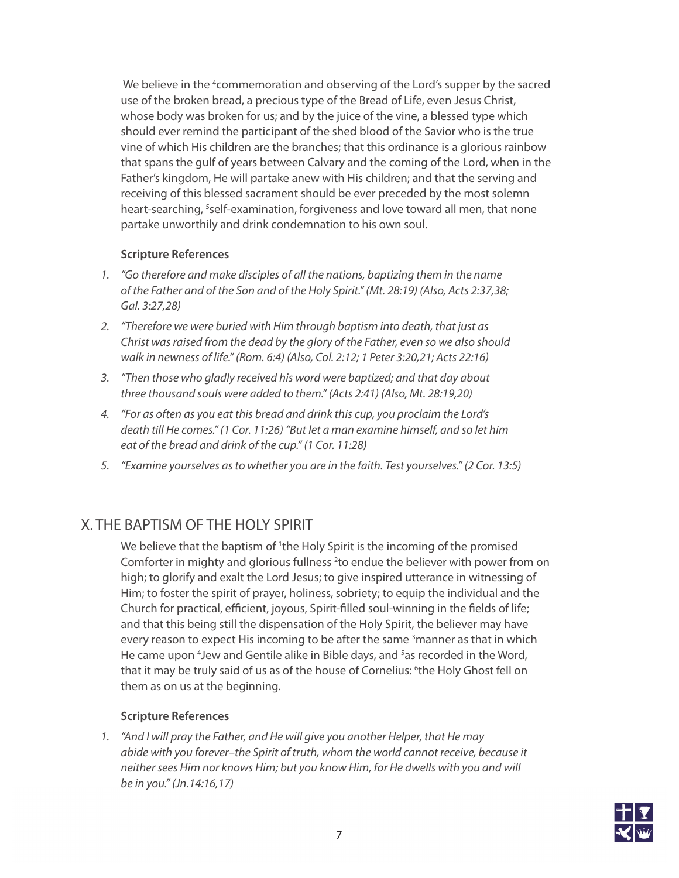We believe in the <sup>4</sup> commemoration and observing of the Lord's supper by the sacred use of the broken bread, a precious type of the Bread of Life, even Jesus Christ, whose body was broken for us; and by the juice of the vine, a blessed type which should ever remind the participant of the shed blood of the Savior who is the true vine of which His children are the branches; that this ordinance is a glorious rainbow that spans the gulf of years between Calvary and the coming of the Lord, when in the Father's kingdom, He will partake anew with His children; and that the serving and receiving of this blessed sacrament should be ever preceded by the most solemn heart-searching, <sup>5</sup>self-examination, forgiveness and love toward all men, that none partake unworthily and drink condemnation to his own soul.

#### **Scripture References**

- *1. "Go therefore and make disciples of all the nations, baptizing them in the name of the Father and of the Son and of the Holy Spirit." (Mt. 28:19) (Also, Acts 2:37,38; Gal. 3:27,28)*
- *2. "Therefore we were buried with Him through baptism into death, that just as Christ was raised from the dead by the glory of the Father, even so we also should walk in newness of life." (Rom. 6:4) (Also, Col. 2:12; 1 Peter 3:20,21; Acts 22:16)*
- *3. "Then those who gladly received his word were baptized; and that day about three thousand souls were added to them." (Acts 2:41) (Also, Mt. 28:19,20)*
- *4. "For as often as you eat this bread and drink this cup, you proclaim the Lord's death till He comes." (1 Cor. 11:26) "But let a man examine himself, and so let him eat of the bread and drink of the cup." (1 Cor. 11:28)*
- *5. "Examine yourselves as to whether you are in the faith. Test yourselves." (2 Cor. 13:5)*

## X. THE BAPTISM OF THE HOLY SPIRIT

We believe that the baptism of <sup>1</sup>the Holy Spirit is the incoming of the promised Comforter in mighty and glorious fullness  $2$  to endue the believer with power from on high; to glorify and exalt the Lord Jesus; to give inspired utterance in witnessing of Him; to foster the spirit of prayer, holiness, sobriety; to equip the individual and the Church for practical, efficient, joyous, Spirit-filled soul-winning in the fields of life; and that this being still the dispensation of the Holy Spirit, the believer may have every reason to expect His incoming to be after the same <sup>3</sup>manner as that in which He came upon <sup>4</sup>Jew and Gentile alike in Bible days, and <sup>5</sup>as recorded in the Word, that it may be truly said of us as of the house of Cornelius: <sup>6</sup>the Holy Ghost fell on them as on us at the beginning.

#### **Scripture References**

*1. "And I will pray the Father, and He will give you another Helper, that He may abide with you forever–the Spirit of truth, whom the world cannot receive, because it neither sees Him nor knows Him; but you know Him, for He dwells with you and will be in you." (Jn.14:16,17)*

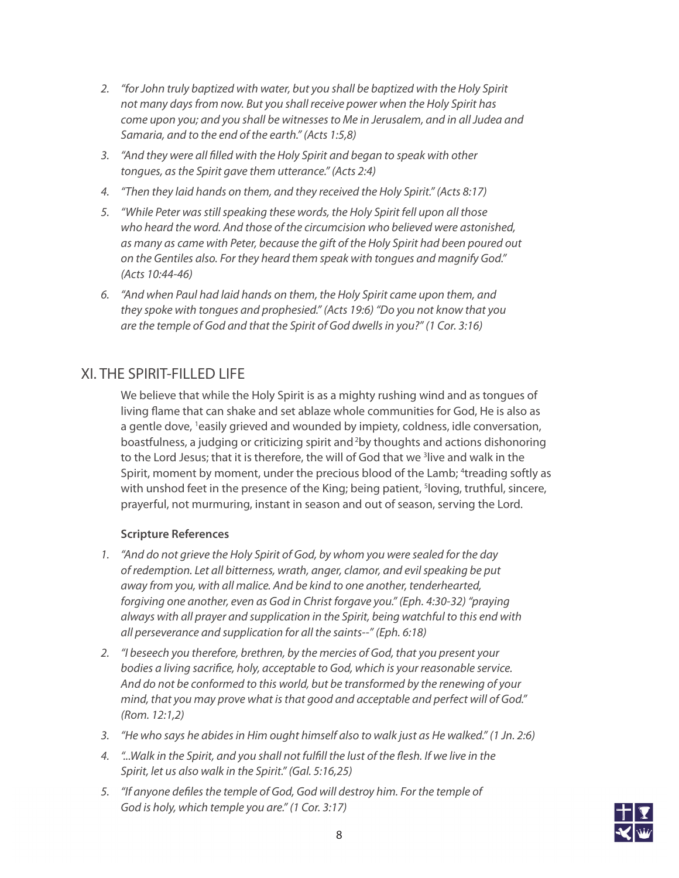- *2. "for John truly baptized with water, but you shall be baptized with the Holy Spirit not many days from now. But you shall receive power when the Holy Spirit has come upon you; and you shall be witnesses to Me in Jerusalem, and in all Judea and Samaria, and to the end of the earth." (Acts 1:5,8)*
- *3. "And they were all filled with the Holy Spirit and began to speak with other tongues, as the Spirit gave them utterance." (Acts 2:4)*
- *4. "Then they laid hands on them, and they received the Holy Spirit." (Acts 8:17)*
- *5. "While Peter was still speaking these words, the Holy Spirit fell upon all those who heard the word. And those of the circumcision who believed were astonished, as many as came with Peter, because the gift of the Holy Spirit had been poured out on the Gentiles also. For they heard them speak with tongues and magnify God." (Acts 10:44-46)*
- *6. "And when Paul had laid hands on them, the Holy Spirit came upon them, and they spoke with tongues and prophesied." (Acts 19:6) "Do you not know that you are the temple of God and that the Spirit of God dwells in you?" (1 Cor. 3:16)*

# XI. THE SPIRIT-FILLED LIFE

We believe that while the Holy Spirit is as a mighty rushing wind and as tongues of living flame that can shake and set ablaze whole communities for God, He is also as a gentle dove, <sup>1</sup>easily grieved and wounded by impiety, coldness, idle conversation, boastfulness, a judging or criticizing spirit and 2by thoughts and actions dishonoring to the Lord Jesus; that it is therefore, the will of God that we <sup>3</sup>live and walk in the Spirit, moment by moment, under the precious blood of the Lamb; <sup>4</sup>treading softly as with unshod feet in the presence of the King; being patient, <sup>s</sup>loving, truthful, sincere, prayerful, not murmuring, instant in season and out of season, serving the Lord.

- *1. "And do not grieve the Holy Spirit of God, by whom you were sealed for the day of redemption. Let all bitterness, wrath, anger, clamor, and evil speaking be put away from you, with all malice. And be kind to one another, tenderhearted, forgiving one another, even as God in Christ forgave you." (Eph. 4:30-32) "praying always with all prayer and supplication in the Spirit, being watchful to this end with all perseverance and supplication for all the saints--" (Eph. 6:18)*
- *2. "I beseech you therefore, brethren, by the mercies of God, that you present your bodies a living sacrifice, holy, acceptable to God, which is your reasonable service. And do not be conformed to this world, but be transformed by the renewing of your mind, that you may prove what is that good and acceptable and perfect will of God." (Rom. 12:1,2)*
- *3. "He who says he abides in Him ought himself also to walk just as He walked." (1 Jn. 2:6)*
- *4. "...Walk in the Spirit, and you shall not fulfill the lust of the flesh. If we live in the Spirit, let us also walk in the Spirit." (Gal. 5:16,25)*
- *5. "If anyone defiles the temple of God, God will destroy him. For the temple of God is holy, which temple you are." (1 Cor. 3:17)*

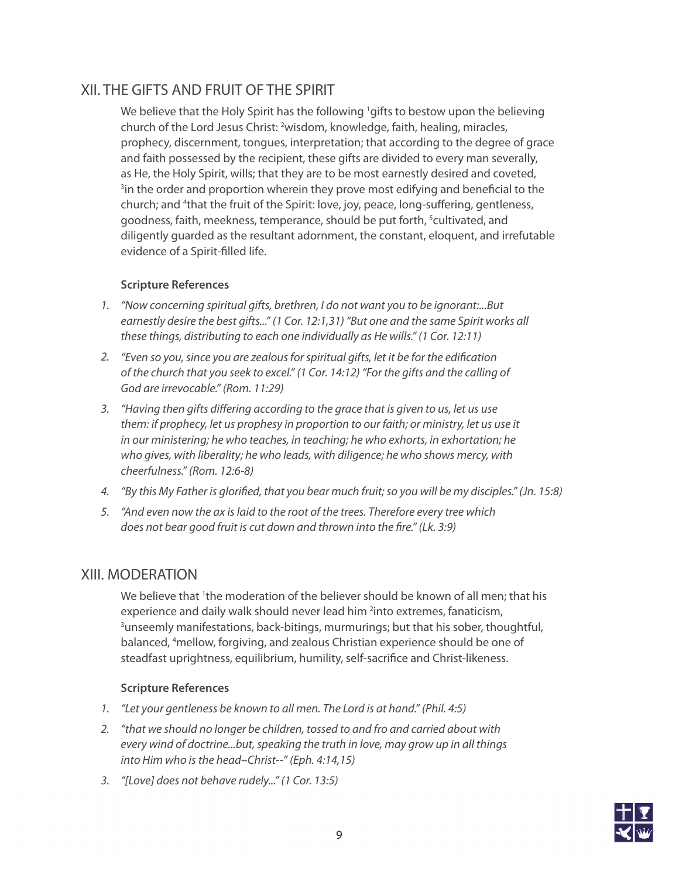## XII. THE GIFTS AND FRUIT OF THE SPIRIT

We believe that the Holy Spirit has the following <sup>1</sup>gifts to bestow upon the believing church of the Lord Jesus Christ: <sup>2</sup>wisdom, knowledge, faith, healing, miracles, prophecy, discernment, tongues, interpretation; that according to the degree of grace and faith possessed by the recipient, these gifts are divided to every man severally, as He, the Holy Spirit, wills; that they are to be most earnestly desired and coveted, <sup>3</sup>in the order and proportion wherein they prove most edifying and beneficial to the church; and <sup>4</sup>that the fruit of the Spirit: love, joy, peace, long-suffering, gentleness, goodness, faith, meekness, temperance, should be put forth, <sup>5</sup>cultivated, and diligently guarded as the resultant adornment, the constant, eloquent, and irrefutable evidence of a Spirit-filled life.

#### **Scripture References**

- *1. "Now concerning spiritual gifts, brethren, I do not want you to be ignorant:...But earnestly desire the best gifts..." (1 Cor. 12:1,31) "But one and the same Spirit works all these things, distributing to each one individually as He wills." (1 Cor. 12:11)*
- *2. "Even so you, since you are zealous for spiritual gifts, let it be for the edification of the church that you seek to excel." (1 Cor. 14:12) "For the gifts and the calling of God are irrevocable." (Rom. 11:29)*
- *3. "Having then gifts differing according to the grace that is given to us, let us use them: if prophecy, let us prophesy in proportion to our faith; or ministry, let us use it in our ministering; he who teaches, in teaching; he who exhorts, in exhortation; he who gives, with liberality; he who leads, with diligence; he who shows mercy, with cheerfulness." (Rom. 12:6-8)*
- *4. "By this My Father is glorified, that you bear much fruit; so you will be my disciples." (Jn. 15:8)*
- *5. "And even now the ax is laid to the root of the trees. Therefore every tree which does not bear good fruit is cut down and thrown into the fire." (Lk. 3:9)*

## XIII. MODERATION

We believe that <sup>1</sup>the moderation of the believer should be known of all men; that his experience and daily walk should never lead him <sup>2</sup>into extremes, fanaticism, <sup>3</sup>unseemly manifestations, back-bitings, murmurings; but that his sober, thoughtful, balanced, 4 mellow, forgiving, and zealous Christian experience should be one of steadfast uprightness, equilibrium, humility, self-sacrifice and Christ-likeness.

- *1. "Let your gentleness be known to all men. The Lord is at hand." (Phil. 4:5)*
- *2. "that we should no longer be children, tossed to and fro and carried about with every wind of doctrine...but, speaking the truth in love, may grow up in all things into Him who is the head–Christ--" (Eph. 4:14,15)*
- *3. "[Love] does not behave rudely..." (1 Cor. 13:5)*

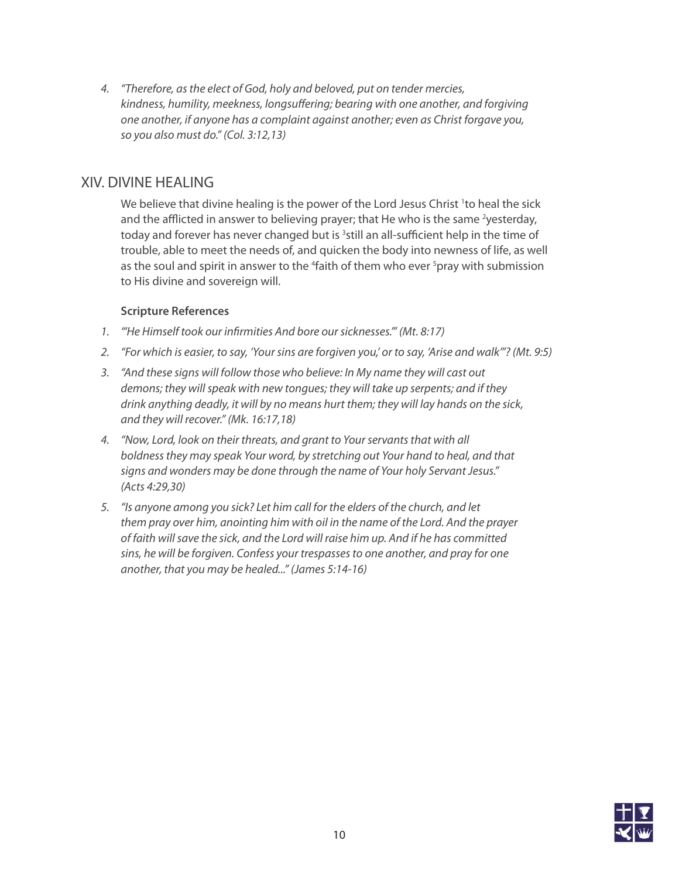*4. "Therefore, as the elect of God, holy and beloved, put on tender mercies, kindness, humility, meekness, longsuffering; bearing with one another, and forgiving one another, if anyone has a complaint against another; even as Christ forgave you, so you also must do." (Col. 3:12,13)*

## XIV. DIVINE HEALING

We believe that divine healing is the power of the Lord Jesus Christ <sup>1</sup>to heal the sick and the afflicted in answer to believing prayer; that He who is the same <sup>2</sup>yesterday, today and forever has never changed but is <sup>3</sup>still an all-sufficient help in the time of trouble, able to meet the needs of, and quicken the body into newness of life, as well as the soul and spirit in answer to the <sup>4</sup>faith of them who ever <sup>5</sup>pray with submission to His divine and sovereign will.

- *1. "'He Himself took our infirmities And bore our sicknesses.'" (Mt. 8:17)*
- *2. "For which is easier, to say, 'Your sins are forgiven you,' or to say, 'Arise and walk'"? (Mt. 9:5)*
- *3. "And these signs will follow those who believe: In My name they will cast out demons; they will speak with new tongues; they will take up serpents; and if they drink anything deadly, it will by no means hurt them; they will lay hands on the sick, and they will recover." (Mk. 16:17,18)*
- *4. "Now, Lord, look on their threats, and grant to Your servants that with all boldness they may speak Your word, by stretching out Your hand to heal, and that signs and wonders may be done through the name of Your holy Servant Jesus." (Acts 4:29,30)*
- *5. "Is anyone among you sick? Let him call for the elders of the church, and let them pray over him, anointing him with oil in the name of the Lord. And the prayer of faith will save the sick, and the Lord will raise him up. And if he has committed sins, he will be forgiven. Confess your trespasses to one another, and pray for one another, that you may be healed..." (James 5:14-16)*

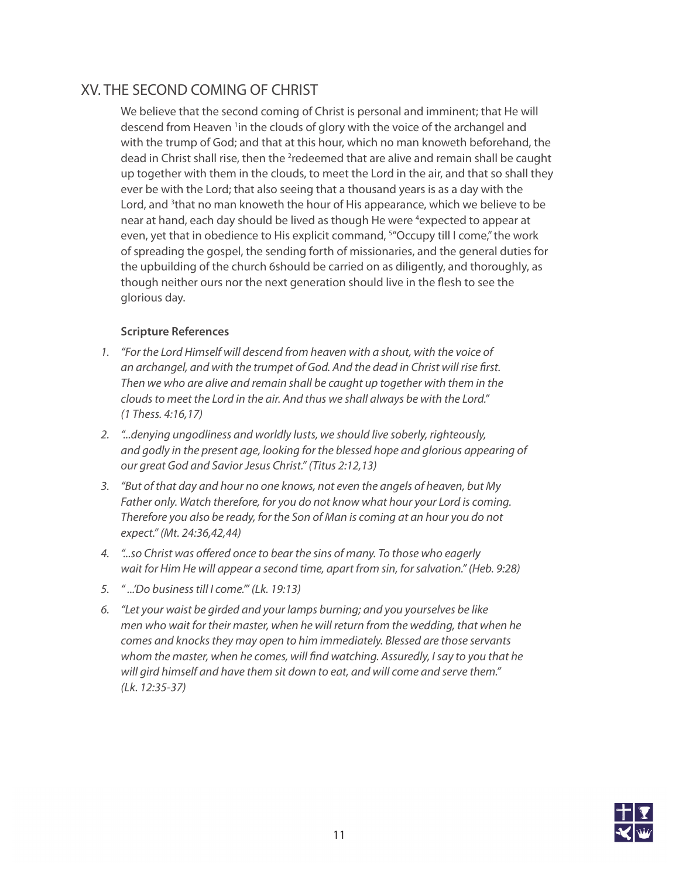# XV. THE SECOND COMING OF CHRIST

We believe that the second coming of Christ is personal and imminent; that He will descend from Heaven <sup>1</sup>in the clouds of glory with the voice of the archangel and with the trump of God; and that at this hour, which no man knoweth beforehand, the dead in Christ shall rise, then the <sup>2</sup>redeemed that are alive and remain shall be caught up together with them in the clouds, to meet the Lord in the air, and that so shall they ever be with the Lord; that also seeing that a thousand years is as a day with the Lord, and <sup>3</sup>that no man knoweth the hour of His appearance, which we believe to be near at hand, each day should be lived as though He were <sup>4</sup>expected to appear at even, yet that in obedience to His explicit command, <sup>5</sup> Occupy till I come," the work of spreading the gospel, the sending forth of missionaries, and the general duties for the upbuilding of the church 6should be carried on as diligently, and thoroughly, as though neither ours nor the next generation should live in the flesh to see the glorious day.

- *1. "For the Lord Himself will descend from heaven with a shout, with the voice of an archangel, and with the trumpet of God. And the dead in Christ will rise first. Then we who are alive and remain shall be caught up together with them in the clouds to meet the Lord in the air. And thus we shall always be with the Lord." (1 Thess. 4:16,17)*
- *2. "...denying ungodliness and worldly lusts, we should live soberly, righteously, and godly in the present age, looking for the blessed hope and glorious appearing of our great God and Savior Jesus Christ." (Titus 2:12,13)*
- *3. "But of that day and hour no one knows, not even the angels of heaven, but My Father only. Watch therefore, for you do not know what hour your Lord is coming. Therefore you also be ready, for the Son of Man is coming at an hour you do not expect." (Mt. 24:36,42,44)*
- *4. "...so Christ was offered once to bear the sins of many. To those who eagerly wait for Him He will appear a second time, apart from sin, for salvation." (Heb. 9:28)*
- *5. " ...'Do business till I come.'" (Lk. 19:13)*
- *6. "Let your waist be girded and your lamps burning; and you yourselves be like men who wait for their master, when he will return from the wedding, that when he comes and knocks they may open to him immediately. Blessed are those servants whom the master, when he comes, will find watching. Assuredly, I say to you that he will gird himself and have them sit down to eat, and will come and serve them." (Lk. 12:35-37)*

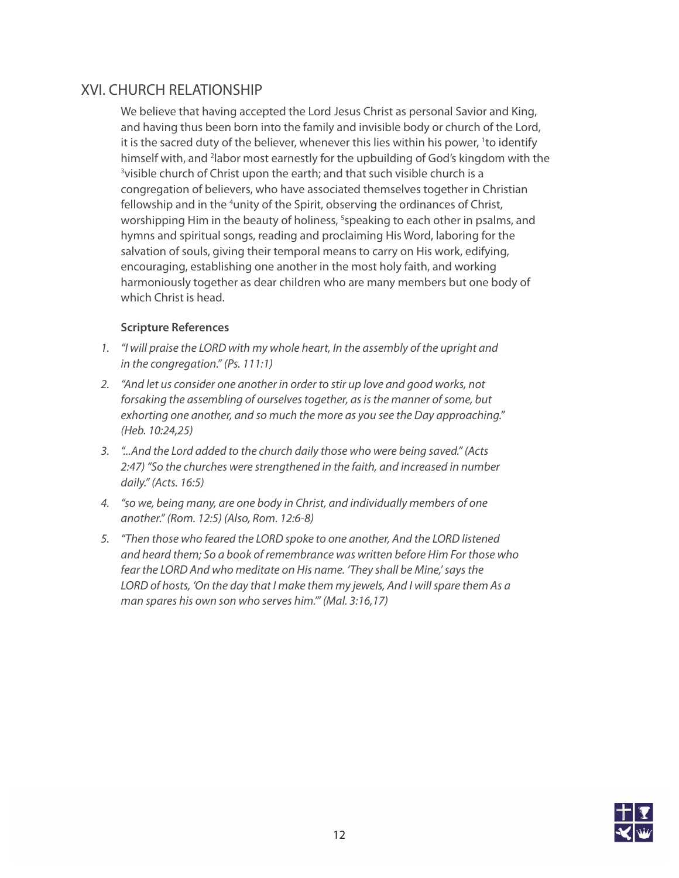# XVI. CHURCH RELATIONSHIP

We believe that having accepted the Lord Jesus Christ as personal Savior and King, and having thus been born into the family and invisible body or church of the Lord, it is the sacred duty of the believer, whenever this lies within his power, <sup>1</sup>to identify himself with, and <sup>2</sup>labor most earnestly for the upbuilding of God's kingdom with the <sup>3</sup>visible church of Christ upon the earth; and that such visible church is a congregation of believers, who have associated themselves together in Christian fellowship and in the <sup>4</sup>unity of the Spirit, observing the ordinances of Christ, worshipping Him in the beauty of holiness, <sup>5</sup>speaking to each other in psalms, and hymns and spiritual songs, reading and proclaiming His Word, laboring for the salvation of souls, giving their temporal means to carry on His work, edifying, encouraging, establishing one another in the most holy faith, and working harmoniously together as dear children who are many members but one body of which Christ is head.

- *1. "I will praise the LORD with my whole heart, In the assembly of the upright and in the congregation." (Ps. 111:1)*
- *2. "And let us consider one another in order to stir up love and good works, not forsaking the assembling of ourselves together, as is the manner of some, but exhorting one another, and so much the more as you see the Day approaching." (Heb. 10:24,25)*
- *3. "...And the Lord added to the church daily those who were being saved." (Acts 2:47) "So the churches were strengthened in the faith, and increased in number daily." (Acts. 16:5)*
- *4. "so we, being many, are one body in Christ, and individually members of one another." (Rom. 12:5) (Also, Rom. 12:6-8)*
- *5. "Then those who feared the LORD spoke to one another, And the LORD listened and heard them; So a book of remembrance was written before Him For those who fear the LORD And who meditate on His name. 'They shall be Mine,' says the LORD of hosts, 'On the day that I make them my jewels, And I will spare them As a man spares his own son who serves him.'" (Mal. 3:16,17)*

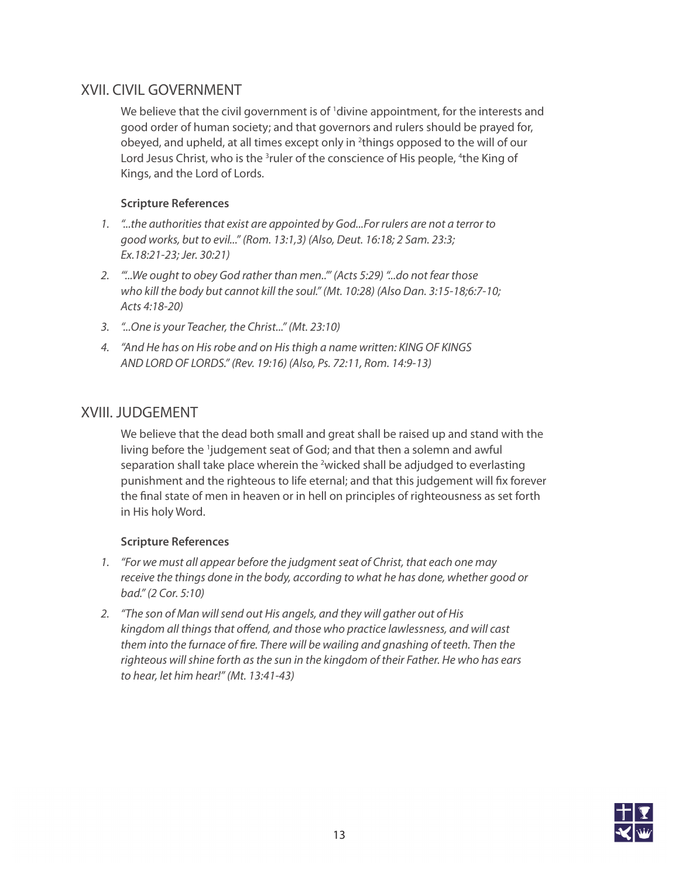## XVII. CIVIL GOVERNMENT

We believe that the civil government is of <sup>1</sup>divine appointment, for the interests and good order of human society; and that governors and rulers should be prayed for, obeyed, and upheld, at all times except only in <sup>2</sup>things opposed to the will of our Lord Jesus Christ, who is the <sup>3</sup>ruler of the conscience of His people, <sup>4</sup>the King of Kings, and the Lord of Lords.

#### **Scripture References**

- *1. "...the authorities that exist are appointed by God...For rulers are not a terror to good works, but to evil..." (Rom. 13:1,3) (Also, Deut. 16:18; 2 Sam. 23:3; Ex.18:21-23; Jer. 30:21)*
- *2. "'...We ought to obey God rather than men..'" (Acts 5:29) "...do not fear those who kill the body but cannot kill the soul." (Mt. 10:28) (Also Dan. 3:15-18;6:7-10; Acts 4:18-20)*
- *3. "...One is your Teacher, the Christ..." (Mt. 23:10)*
- *4. "And He has on His robe and on His thigh a name written: KING OF KINGS AND LORD OF LORDS." (Rev. 19:16) (Also, Ps. 72:11, Rom. 14:9-13)*

## XVIII. JUDGEMENT

We believe that the dead both small and great shall be raised up and stand with the living before the <sup>1</sup>judgement seat of God; and that then a solemn and awful separation shall take place wherein the <sup>2</sup>wicked shall be adjudged to everlasting punishment and the righteous to life eternal; and that this judgement will fix forever the final state of men in heaven or in hell on principles of righteousness as set forth in His holy Word.

- *1. "For we must all appear before the judgment seat of Christ, that each one may receive the things done in the body, according to what he has done, whether good or bad." (2 Cor. 5:10)*
- *2. "The son of Man will send out His angels, and they will gather out of His kingdom all things that offend, and those who practice lawlessness, and will cast them into the furnace of fire. There will be wailing and gnashing of teeth. Then the righteous will shine forth as the sun in the kingdom of their Father. He who has ears to hear, let him hear!" (Mt. 13:41-43)*

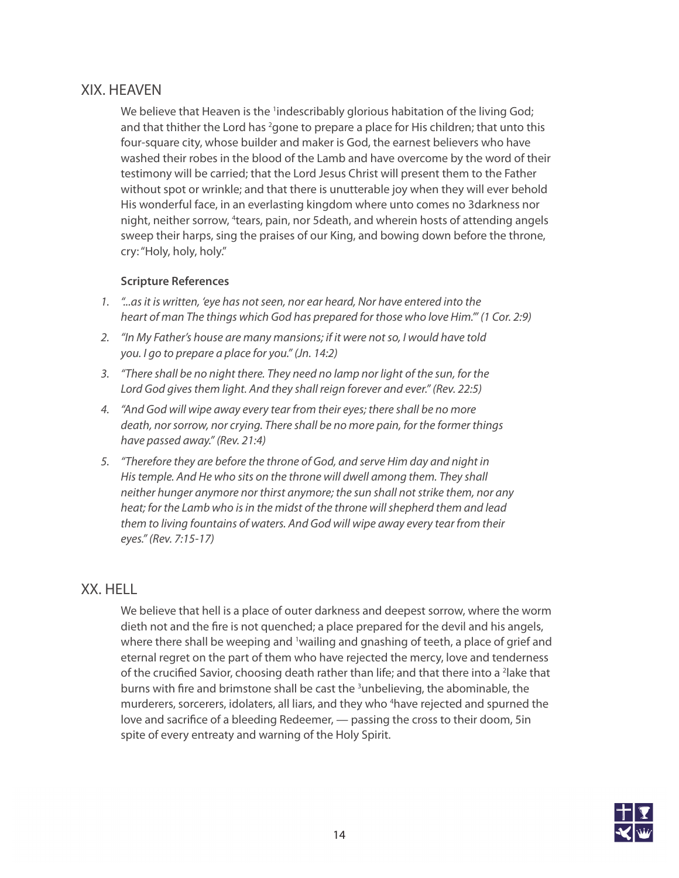## XIX. HEAVEN

We believe that Heaven is the <sup>1</sup>indescribably glorious habitation of the living God; and that thither the Lord has <sup>2</sup>gone to prepare a place for His children; that unto this four-square city, whose builder and maker is God, the earnest believers who have washed their robes in the blood of the Lamb and have overcome by the word of their testimony will be carried; that the Lord Jesus Christ will present them to the Father without spot or wrinkle; and that there is unutterable joy when they will ever behold His wonderful face, in an everlasting kingdom where unto comes no 3darkness nor night, neither sorrow, <sup>4</sup>tears, pain, nor 5death, and wherein hosts of attending angels sweep their harps, sing the praises of our King, and bowing down before the throne, cry: "Holy, holy, holy."

#### **Scripture References**

- *1. "...as it is written, 'eye has not seen, nor ear heard, Nor have entered into the heart of man The things which God has prepared for those who love Him.'" (1 Cor. 2:9)*
- *2. "In My Father's house are many mansions; if it were not so, I would have told you. I go to prepare a place for you." (Jn. 14:2)*
- *3. "There shall be no night there. They need no lamp nor light of the sun, for the Lord God gives them light. And they shall reign forever and ever." (Rev. 22:5)*
- *4. "And God will wipe away every tear from their eyes; there shall be no more death, nor sorrow, nor crying. There shall be no more pain, for the former things have passed away." (Rev. 21:4)*
- *5. "Therefore they are before the throne of God, and serve Him day and night in His temple. And He who sits on the throne will dwell among them. They shall neither hunger anymore nor thirst anymore; the sun shall not strike them, nor any heat; for the Lamb who is in the midst of the throne will shepherd them and lead them to living fountains of waters. And God will wipe away every tear from their eyes." (Rev. 7:15-17)*

### XX. HELL

We believe that hell is a place of outer darkness and deepest sorrow, where the worm dieth not and the fire is not quenched; a place prepared for the devil and his angels, where there shall be weeping and <sup>1</sup>wailing and gnashing of teeth, a place of grief and eternal regret on the part of them who have rejected the mercy, love and tenderness of the crucified Savior, choosing death rather than life; and that there into a <sup>2</sup>lake that burns with fire and brimstone shall be cast the <sup>3</sup>unbelieving, the abominable, the murderers, sorcerers, idolaters, all liars, and they who <sup>4</sup>have rejected and spurned the love and sacrifice of a bleeding Redeemer, — passing the cross to their doom, 5in spite of every entreaty and warning of the Holy Spirit.

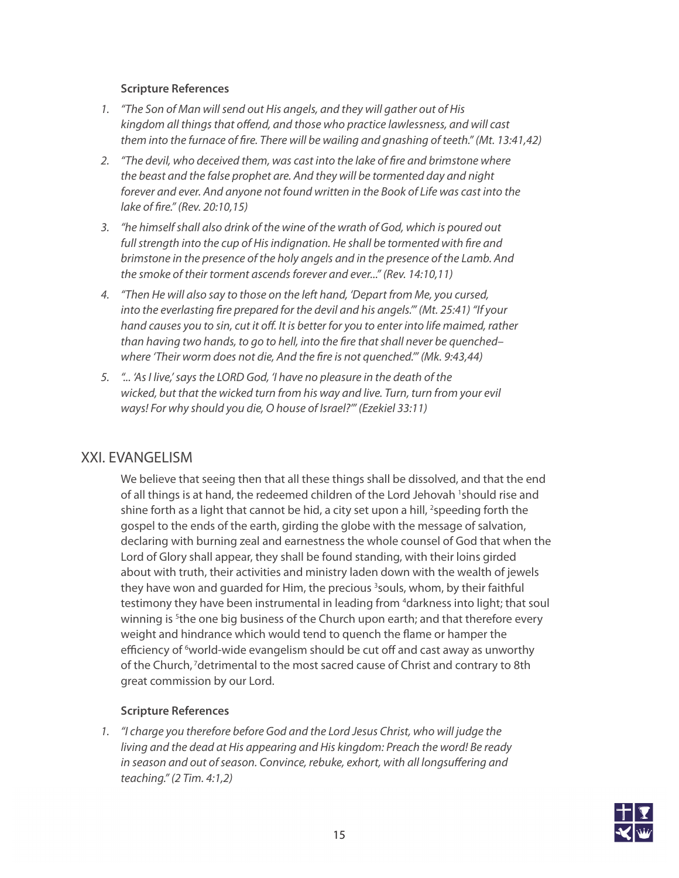#### **Scripture References**

- *1. "The Son of Man will send out His angels, and they will gather out of His kingdom all things that offend, and those who practice lawlessness, and will cast them into the furnace of fire. There will be wailing and gnashing of teeth." (Mt. 13:41,42)*
- *2. "The devil, who deceived them, was cast into the lake of fire and brimstone where the beast and the false prophet are. And they will be tormented day and night forever and ever. And anyone not found written in the Book of Life was cast into the lake of fire." (Rev. 20:10,15)*
- *3. "he himself shall also drink of the wine of the wrath of God, which is poured out full strength into the cup of His indignation. He shall be tormented with fire and brimstone in the presence of the holy angels and in the presence of the Lamb. And the smoke of their torment ascends forever and ever..." (Rev. 14:10,11)*
- *4. "Then He will also say to those on the left hand, 'Depart from Me, you cursed, into the everlasting fire prepared for the devil and his angels.'" (Mt. 25:41) "If your hand causes you to sin, cut it off. It is better for you to enter into life maimed, rather than having two hands, to go to hell, into the fire that shall never be quenched– where 'Their worm does not die, And the fire is not quenched.'" (Mk. 9:43,44)*
- *5. "... 'As I live,' says the LORD God, 'I have no pleasure in the death of the wicked, but that the wicked turn from his way and live. Turn, turn from your evil ways! For why should you die, O house of Israel?'" (Ezekiel 33:11)*

## XXI. EVANGELISM

We believe that seeing then that all these things shall be dissolved, and that the end of all things is at hand, the redeemed children of the Lord Jehovah <sup>1</sup>should rise and shine forth as a light that cannot be hid, a city set upon a hill, <sup>2</sup>speeding forth the gospel to the ends of the earth, girding the globe with the message of salvation, declaring with burning zeal and earnestness the whole counsel of God that when the Lord of Glory shall appear, they shall be found standing, with their loins girded about with truth, their activities and ministry laden down with the wealth of jewels they have won and guarded for Him, the precious <sup>3</sup>souls, whom, by their faithful testimony they have been instrumental in leading from <sup>4</sup>darkness into light; that soul winning is <sup>5</sup>the one big business of the Church upon earth; and that therefore every weight and hindrance which would tend to quench the flame or hamper the efficiency of <sup>6</sup>world-wide evangelism should be cut off and cast away as unworthy of the Church, 7detrimental to the most sacred cause of Christ and contrary to 8th great commission by our Lord.

#### **Scripture References**

*1. "I charge you therefore before God and the Lord Jesus Christ, who will judge the living and the dead at His appearing and His kingdom: Preach the word! Be ready in season and out of season. Convince, rebuke, exhort, with all longsuffering and teaching." (2 Tim. 4:1,2)*